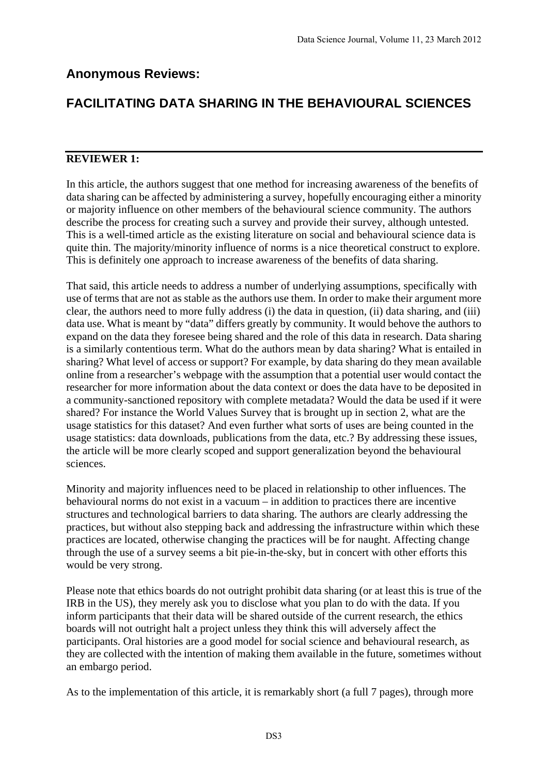## **Anonymous Reviews:**

## **FACILITATING DATA SHARING IN THE BEHAVIOURAL SCIENCES**

## **REVIEWER 1:**

In this article, the authors suggest that one method for increasing awareness of the benefits of data sharing can be affected by administering a survey, hopefully encouraging either a minority or majority influence on other members of the behavioural science community. The authors describe the process for creating such a survey and provide their survey, although untested. This is a well-timed article as the existing literature on social and behavioural science data is quite thin. The majority/minority influence of norms is a nice theoretical construct to explore. This is definitely one approach to increase awareness of the benefits of data sharing.

That said, this article needs to address a number of underlying assumptions, specifically with use of terms that are not as stable as the authors use them. In order to make their argument more clear, the authors need to more fully address (i) the data in question, (ii) data sharing, and (iii) data use. What is meant by "data" differs greatly by community. It would behove the authors to expand on the data they foresee being shared and the role of this data in research. Data sharing is a similarly contentious term. What do the authors mean by data sharing? What is entailed in sharing? What level of access or support? For example, by data sharing do they mean available online from a researcher's webpage with the assumption that a potential user would contact the researcher for more information about the data context or does the data have to be deposited in a community-sanctioned repository with complete metadata? Would the data be used if it were shared? For instance the World Values Survey that is brought up in section 2, what are the usage statistics for this dataset? And even further what sorts of uses are being counted in the usage statistics: data downloads, publications from the data, etc.? By addressing these issues, the article will be more clearly scoped and support generalization beyond the behavioural sciences.

Minority and majority influences need to be placed in relationship to other influences. The behavioural norms do not exist in a vacuum – in addition to practices there are incentive structures and technological barriers to data sharing. The authors are clearly addressing the practices, but without also stepping back and addressing the infrastructure within which these practices are located, otherwise changing the practices will be for naught. Affecting change through the use of a survey seems a bit pie-in-the-sky, but in concert with other efforts this would be very strong.

Please note that ethics boards do not outright prohibit data sharing (or at least this is true of the IRB in the US), they merely ask you to disclose what you plan to do with the data. If you inform participants that their data will be shared outside of the current research, the ethics boards will not outright halt a project unless they think this will adversely affect the participants. Oral histories are a good model for social science and behavioural research, as they are collected with the intention of making them available in the future, sometimes without an embargo period.

As to the implementation of this article, it is remarkably short (a full 7 pages), through more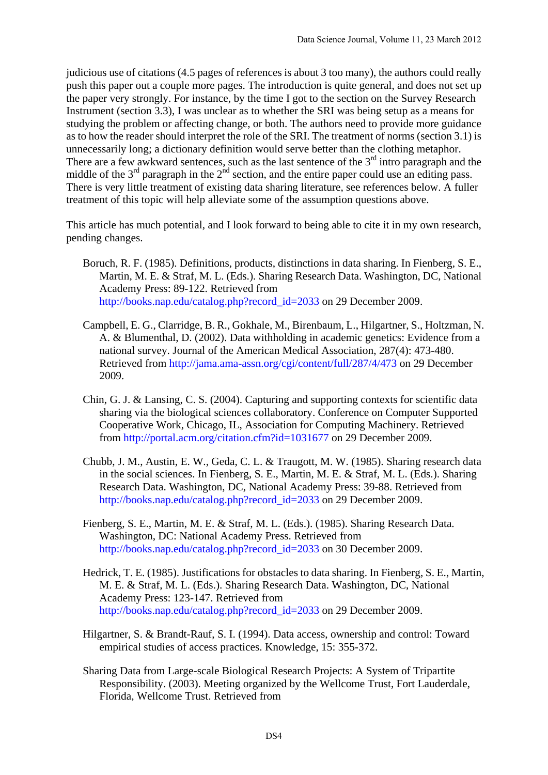judicious use of citations (4.5 pages of references is about 3 too many), the authors could really push this paper out a couple more pages. The introduction is quite general, and does not set up the paper very strongly. For instance, by the time I got to the section on the Survey Research Instrument (section 3.3), I was unclear as to whether the SRI was being setup as a means for studying the problem or affecting change, or both. The authors need to provide more guidance as to how the reader should interpret the role of the SRI. The treatment of norms (section 3.1) is unnecessarily long; a dictionary definition would serve better than the clothing metaphor. There are a few awkward sentences, such as the last sentence of the  $3<sup>rd</sup>$  intro paragraph and the middle of the  $3<sup>rd</sup>$  paragraph in the  $2<sup>nd</sup>$  section, and the entire paper could use an editing pass. There is very little treatment of existing data sharing literature, see references below. A fuller treatment of this topic will help alleviate some of the assumption questions above.

This article has much potential, and I look forward to being able to cite it in my own research, pending changes.

- Boruch, R. F. (1985). Definitions, products, distinctions in data sharing. In Fienberg, S. E., Martin, M. E. & Straf, M. L. (Eds.). Sharing Research Data. Washington, DC, National Academy Press: 89-122. Retrieved from http://books.nap.edu/catalog.php?record\_id=2033 on 29 December 2009.
- Campbell, E. G., Clarridge, B. R., Gokhale, M., Birenbaum, L., Hilgartner, S., Holtzman, N. A. & Blumenthal, D. (2002). Data withholding in academic genetics: Evidence from a national survey. Journal of the American Medical Association, 287(4): 473-480. Retrieved from http://jama.ama-assn.org/cgi/content/full/287/4/473 on 29 December 2009.
- Chin, G. J. & Lansing, C. S. (2004). Capturing and supporting contexts for scientific data sharing via the biological sciences collaboratory. Conference on Computer Supported Cooperative Work, Chicago, IL, Association for Computing Machinery. Retrieved from http://portal.acm.org/citation.cfm?id=1031677 on 29 December 2009.
- Chubb, J. M., Austin, E. W., Geda, C. L. & Traugott, M. W. (1985). Sharing research data in the social sciences. In Fienberg, S. E., Martin, M. E. & Straf, M. L. (Eds.). Sharing Research Data. Washington, DC, National Academy Press: 39-88. Retrieved from http://books.nap.edu/catalog.php?record\_id=2033 on 29 December 2009.
- Fienberg, S. E., Martin, M. E. & Straf, M. L. (Eds.). (1985). Sharing Research Data. Washington, DC: National Academy Press. Retrieved from http://books.nap.edu/catalog.php?record\_id=2033 on 30 December 2009.
- Hedrick, T. E. (1985). Justifications for obstacles to data sharing. In Fienberg, S. E., Martin, M. E. & Straf, M. L. (Eds.). Sharing Research Data. Washington, DC, National Academy Press: 123-147. Retrieved from http://books.nap.edu/catalog.php?record\_id=2033 on 29 December 2009.
- Hilgartner, S. & Brandt-Rauf, S. I. (1994). Data access, ownership and control: Toward empirical studies of access practices. Knowledge, 15: 355-372.
- Sharing Data from Large-scale Biological Research Projects: A System of Tripartite Responsibility. (2003). Meeting organized by the Wellcome Trust, Fort Lauderdale, Florida, Wellcome Trust. Retrieved from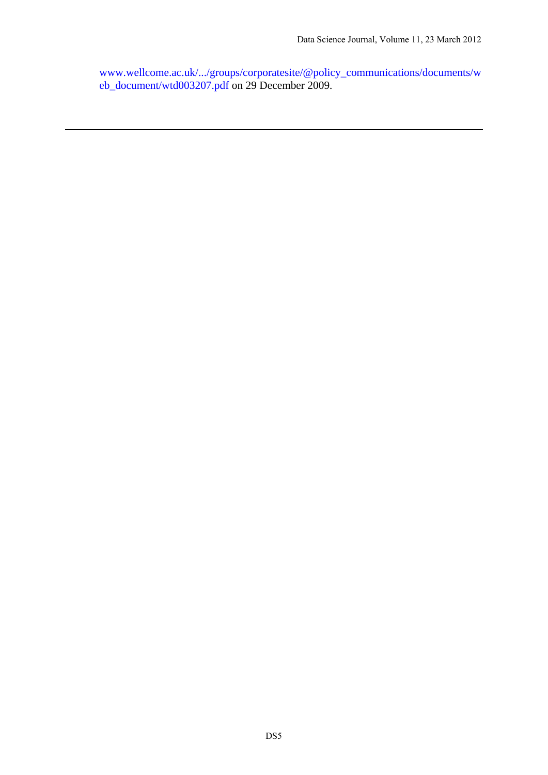www.wellcome.ac.uk/.../groups/corporatesite/@policy\_communications/documents/w eb\_document/wtd003207.pdf on 29 December 2009.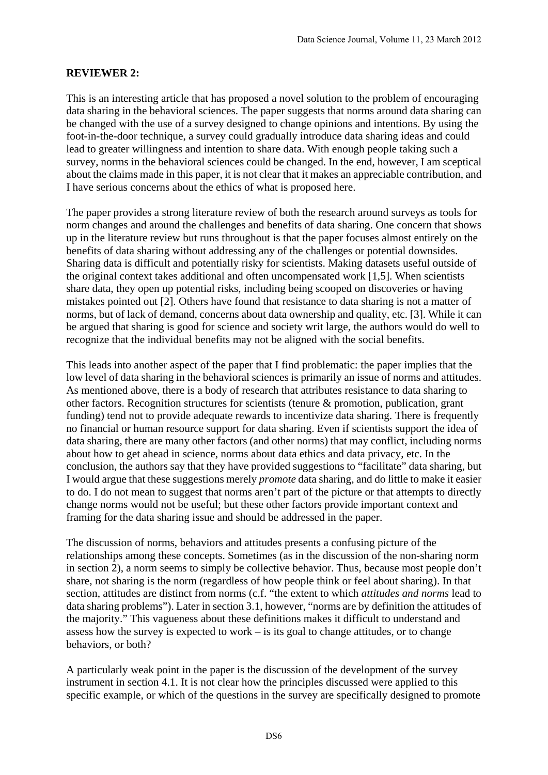## **REVIEWER 2:**

This is an interesting article that has proposed a novel solution to the problem of encouraging data sharing in the behavioral sciences. The paper suggests that norms around data sharing can be changed with the use of a survey designed to change opinions and intentions. By using the foot-in-the-door technique, a survey could gradually introduce data sharing ideas and could lead to greater willingness and intention to share data. With enough people taking such a survey, norms in the behavioral sciences could be changed. In the end, however, I am sceptical about the claims made in this paper, it is not clear that it makes an appreciable contribution, and I have serious concerns about the ethics of what is proposed here.

The paper provides a strong literature review of both the research around surveys as tools for norm changes and around the challenges and benefits of data sharing. One concern that shows up in the literature review but runs throughout is that the paper focuses almost entirely on the benefits of data sharing without addressing any of the challenges or potential downsides. Sharing data is difficult and potentially risky for scientists. Making datasets useful outside of the original context takes additional and often uncompensated work [1,5]. When scientists share data, they open up potential risks, including being scooped on discoveries or having mistakes pointed out [2]. Others have found that resistance to data sharing is not a matter of norms, but of lack of demand, concerns about data ownership and quality, etc. [3]. While it can be argued that sharing is good for science and society writ large, the authors would do well to recognize that the individual benefits may not be aligned with the social benefits.

This leads into another aspect of the paper that I find problematic: the paper implies that the low level of data sharing in the behavioral sciences is primarily an issue of norms and attitudes. As mentioned above, there is a body of research that attributes resistance to data sharing to other factors. Recognition structures for scientists (tenure & promotion, publication, grant funding) tend not to provide adequate rewards to incentivize data sharing. There is frequently no financial or human resource support for data sharing. Even if scientists support the idea of data sharing, there are many other factors (and other norms) that may conflict, including norms about how to get ahead in science, norms about data ethics and data privacy, etc. In the conclusion, the authors say that they have provided suggestions to "facilitate" data sharing, but I would argue that these suggestions merely *promote* data sharing, and do little to make it easier to do. I do not mean to suggest that norms aren't part of the picture or that attempts to directly change norms would not be useful; but these other factors provide important context and framing for the data sharing issue and should be addressed in the paper.

The discussion of norms, behaviors and attitudes presents a confusing picture of the relationships among these concepts. Sometimes (as in the discussion of the non-sharing norm in section 2), a norm seems to simply be collective behavior. Thus, because most people don't share, not sharing is the norm (regardless of how people think or feel about sharing). In that section, attitudes are distinct from norms (c.f. "the extent to which *attitudes and norms* lead to data sharing problems"). Later in section 3.1, however, "norms are by definition the attitudes of the majority." This vagueness about these definitions makes it difficult to understand and assess how the survey is expected to work – is its goal to change attitudes, or to change behaviors, or both?

A particularly weak point in the paper is the discussion of the development of the survey instrument in section 4.1. It is not clear how the principles discussed were applied to this specific example, or which of the questions in the survey are specifically designed to promote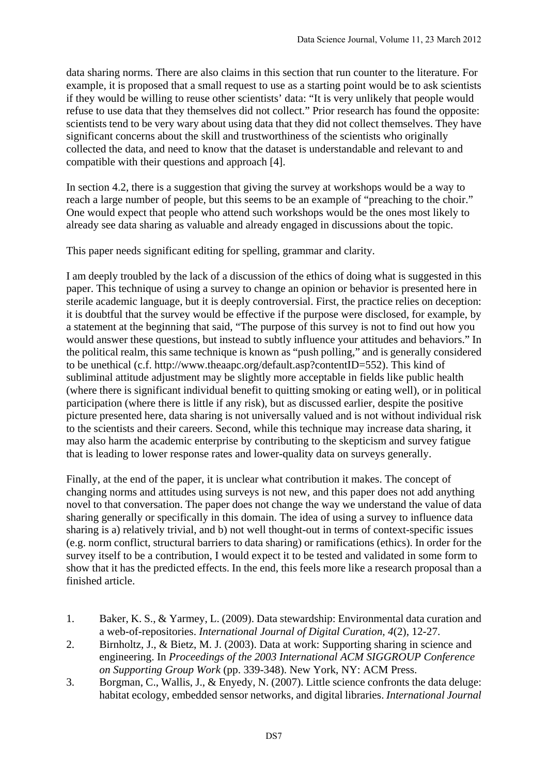data sharing norms. There are also claims in this section that run counter to the literature. For example, it is proposed that a small request to use as a starting point would be to ask scientists if they would be willing to reuse other scientists' data: "It is very unlikely that people would refuse to use data that they themselves did not collect." Prior research has found the opposite: scientists tend to be very wary about using data that they did not collect themselves. They have significant concerns about the skill and trustworthiness of the scientists who originally collected the data, and need to know that the dataset is understandable and relevant to and compatible with their questions and approach [4].

In section 4.2, there is a suggestion that giving the survey at workshops would be a way to reach a large number of people, but this seems to be an example of "preaching to the choir." One would expect that people who attend such workshops would be the ones most likely to already see data sharing as valuable and already engaged in discussions about the topic.

This paper needs significant editing for spelling, grammar and clarity.

I am deeply troubled by the lack of a discussion of the ethics of doing what is suggested in this paper. This technique of using a survey to change an opinion or behavior is presented here in sterile academic language, but it is deeply controversial. First, the practice relies on deception: it is doubtful that the survey would be effective if the purpose were disclosed, for example, by a statement at the beginning that said, "The purpose of this survey is not to find out how you would answer these questions, but instead to subtly influence your attitudes and behaviors." In the political realm, this same technique is known as "push polling," and is generally considered to be unethical (c.f. http://www.theaapc.org/default.asp?contentID=552). This kind of subliminal attitude adjustment may be slightly more acceptable in fields like public health (where there is significant individual benefit to quitting smoking or eating well), or in political participation (where there is little if any risk), but as discussed earlier, despite the positive picture presented here, data sharing is not universally valued and is not without individual risk to the scientists and their careers. Second, while this technique may increase data sharing, it may also harm the academic enterprise by contributing to the skepticism and survey fatigue that is leading to lower response rates and lower-quality data on surveys generally.

Finally, at the end of the paper, it is unclear what contribution it makes. The concept of changing norms and attitudes using surveys is not new, and this paper does not add anything novel to that conversation. The paper does not change the way we understand the value of data sharing generally or specifically in this domain. The idea of using a survey to influence data sharing is a) relatively trivial, and b) not well thought-out in terms of context-specific issues (e.g. norm conflict, structural barriers to data sharing) or ramifications (ethics). In order for the survey itself to be a contribution, I would expect it to be tested and validated in some form to show that it has the predicted effects. In the end, this feels more like a research proposal than a finished article.

- 1. Baker, K. S., & Yarmey, L. (2009). Data stewardship: Environmental data curation and a web-of-repositories. *International Journal of Digital Curation, 4*(2), 12-27.
- 2. Birnholtz, J., & Bietz, M. J. (2003). Data at work: Supporting sharing in science and engineering. In *Proceedings of the 2003 International ACM SIGGROUP Conference on Supporting Group Work* (pp. 339-348). New York, NY: ACM Press.
- 3. Borgman, C., Wallis, J., & Enyedy, N. (2007). Little science confronts the data deluge: habitat ecology, embedded sensor networks, and digital libraries. *International Journal*